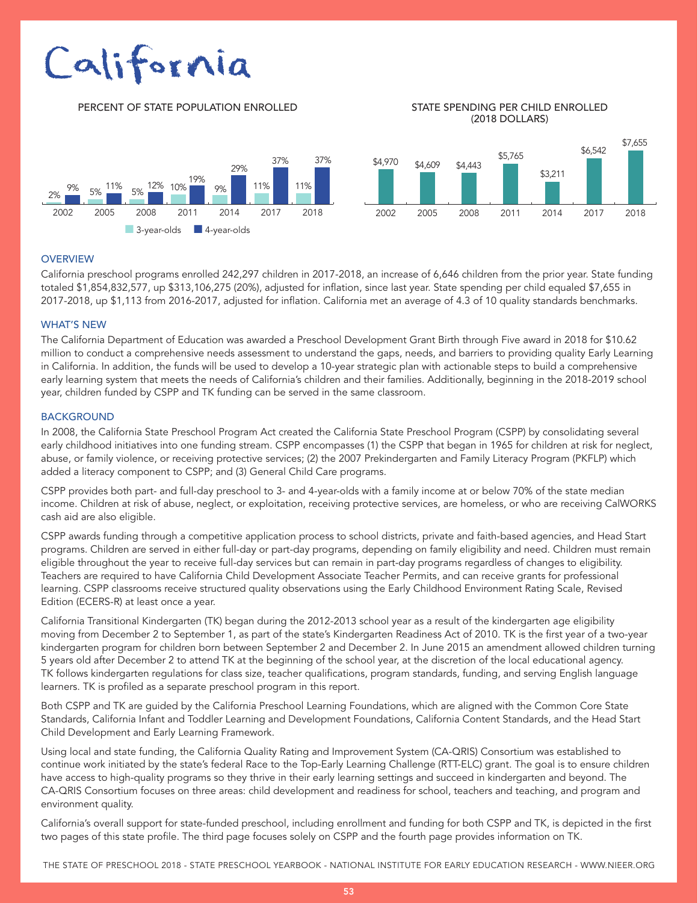# California

PERCENT OF STATE POPULATION ENROLLED STATE SPENDING PER CHILD ENROLLED

## (2018 DOLLARS)



#### **OVERVIEW**

California preschool programs enrolled 242,297 children in 2017-2018, an increase of 6,646 children from the prior year. State funding totaled \$1,854,832,577, up \$313,106,275 (20%), adjusted for inflation, since last year. State spending per child equaled \$7,655 in 2017-2018, up \$1,113 from 2016-2017, adjusted for inflation. California met an average of 4.3 of 10 quality standards benchmarks.

#### WHAT'S NEW

The California Department of Education was awarded a Preschool Development Grant Birth through Five award in 2018 for \$10.62 million to conduct a comprehensive needs assessment to understand the gaps, needs, and barriers to providing quality Early Learning in California. In addition, the funds will be used to develop a 10-year strategic plan with actionable steps to build a comprehensive early learning system that meets the needs of California's children and their families. Additionally, beginning in the 2018-2019 school year, children funded by CSPP and TK funding can be served in the same classroom.

#### **BACKGROUND**

In 2008, the California State Preschool Program Act created the California State Preschool Program (CSPP) by consolidating several early childhood initiatives into one funding stream. CSPP encompasses (1) the CSPP that began in 1965 for children at risk for neglect, abuse, or family violence, or receiving protective services; (2) the 2007 Prekindergarten and Family Literacy Program (PKFLP) which added a literacy component to CSPP; and (3) General Child Care programs.

CSPP provides both part- and full-day preschool to 3- and 4-year-olds with a family income at or below 70% of the state median income. Children at risk of abuse, neglect, or exploitation, receiving protective services, are homeless, or who are receiving CalWORKS cash aid are also eligible.

CSPP awards funding through a competitive application process to school districts, private and faith-based agencies, and Head Start programs. Children are served in either full-day or part-day programs, depending on family eligibility and need. Children must remain eligible throughout the year to receive full-day services but can remain in part-day programs regardless of changes to eligibility. Teachers are required to have California Child Development Associate Teacher Permits, and can receive grants for professional learning. CSPP classrooms receive structured quality observations using the Early Childhood Environment Rating Scale, Revised Edition (ECERS-R) at least once a year.

California Transitional Kindergarten (TK) began during the 2012-2013 school year as a result of the kindergarten age eligibility moving from December 2 to September 1, as part of the state's Kindergarten Readiness Act of 2010. TK is the first year of a two-year kindergarten program for children born between September 2 and December 2. In June 2015 an amendment allowed children turning 5 years old after December 2 to attend TK at the beginning of the school year, at the discretion of the local educational agency. TK follows kindergarten regulations for class size, teacher qualifications, program standards, funding, and serving English language learners. TK is profiled as a separate preschool program in this report.

Both CSPP and TK are guided by the California Preschool Learning Foundations, which are aligned with the Common Core State Standards, California Infant and Toddler Learning and Development Foundations, California Content Standards, and the Head Start Child Development and Early Learning Framework.

Using local and state funding, the California Quality Rating and Improvement System (CA-QRIS) Consortium was established to continue work initiated by the state's federal Race to the Top-Early Learning Challenge (RTT-ELC) grant. The goal is to ensure children have access to high-quality programs so they thrive in their early learning settings and succeed in kindergarten and beyond. The CA-QRIS Consortium focuses on three areas: child development and readiness for school, teachers and teaching, and program and environment quality.

California's overall support for state-funded preschool, including enrollment and funding for both CSPP and TK, is depicted in the first two pages of this state profile. The third page focuses solely on CSPP and the fourth page provides information on TK.

THE STATE OF PRESCHOOL 2018 - STATE PRESCHOOL YEARBOOK - NATIONAL INSTITUTE FOR EARLY EDUCATION RESEARCH - WWW.NIEER.ORG

53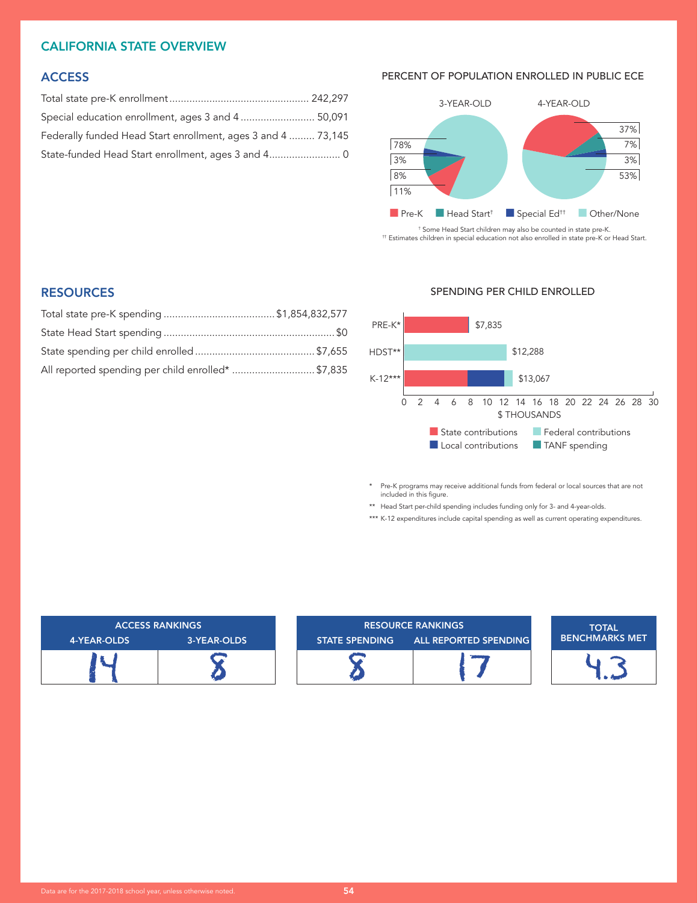#### CALIFORNIA STATE OVERVIEW

#### **ACCESS**

| Special education enrollment, ages 3 and 4  50,091           |  |
|--------------------------------------------------------------|--|
| Federally funded Head Start enrollment, ages 3 and 4  73,145 |  |
| State-funded Head Start enrollment, ages 3 and 4 0           |  |

#### PERCENT OF POPULATION ENROLLED IN PUBLIC ECE



† Some Head Start children may also be counted in state pre-K. †† Estimates children in special education not also enrolled in state pre-K or Head Start.

#### **RESOURCES**

| All reported spending per child enrolled* \$7,835 |  |
|---------------------------------------------------|--|

#### SPENDING PER CHILD ENROLLED



\* Pre-K programs may receive additional funds from federal or local sources that are not included in this figure.

\*\* Head Start per-child spending includes funding only for 3- and 4-year-olds.

\*\*\* K-12 expenditures include capital spending as well as current operating expenditures.

| <b>ACCESS RANKINGS</b> |             | <b>RESOURCE RANKINGS</b> |                              | <b>TOTAL</b>          |
|------------------------|-------------|--------------------------|------------------------------|-----------------------|
| 4-YEAR-OLDS            | 3-YEAR-OLDS | <b>STATE SPENDING</b>    | <b>ALL REPORTED SPENDING</b> | <b>BENCHMARKS MET</b> |
|                        |             |                          |                              |                       |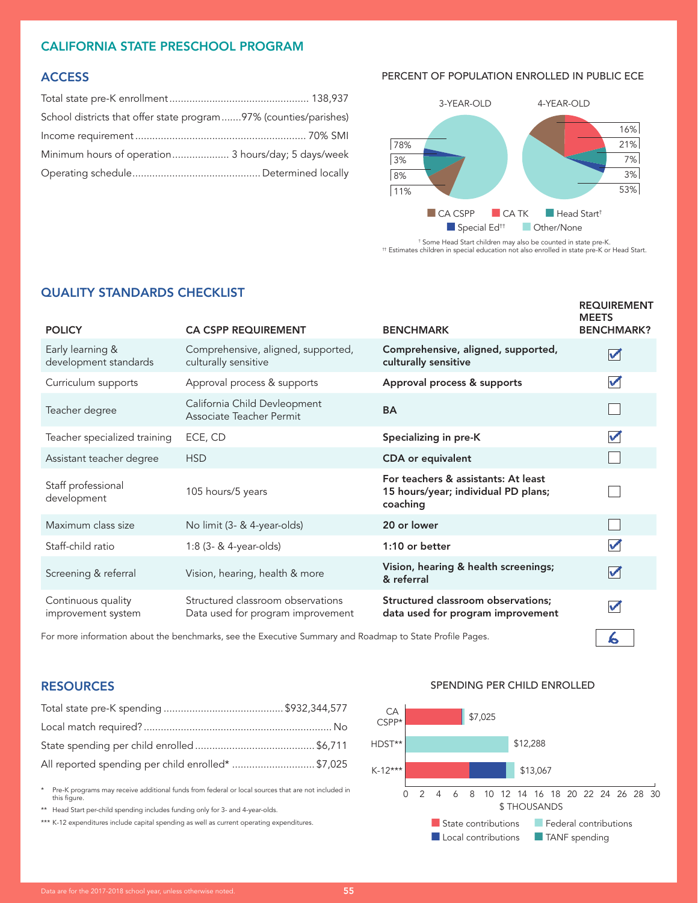#### CALIFORNIA STATE PRESCHOOL PROGRAM

### **ACCESS**

| School districts that offer state program 97% (counties/parishes) |  |
|-------------------------------------------------------------------|--|
|                                                                   |  |
| Minimum hours of operation 3 hours/day; 5 days/week               |  |
|                                                                   |  |

#### PERCENT OF POPULATION ENROLLED IN PUBLIC ECE



† Some Head Start children may also be counted in state pre-K. †† Estimates children in special education not also enrolled in state pre-K or Head Start.

| <b>POLICY</b>                             | <b>CA CSPP REQUIREMENT</b>                                             | <b>BENCHMARK</b>                                                                       | <b>REQUIREMENT</b><br><b>MEETS</b><br><b>BENCHMARK?</b> |
|-------------------------------------------|------------------------------------------------------------------------|----------------------------------------------------------------------------------------|---------------------------------------------------------|
| Early learning &<br>development standards | Comprehensive, aligned, supported,<br>culturally sensitive             | Comprehensive, aligned, supported,<br>culturally sensitive                             | $\blacktriangledown$                                    |
| Curriculum supports                       | Approval process & supports                                            | Approval process & supports                                                            | $\blacktriangledown$                                    |
| Teacher degree                            | California Child Devleopment<br>Associate Teacher Permit               | <b>BA</b>                                                                              |                                                         |
| Teacher specialized training              | ECE, CD                                                                | Specializing in pre-K                                                                  | $\blacktriangledown$                                    |
| Assistant teacher degree                  | <b>HSD</b>                                                             | <b>CDA</b> or equivalent                                                               |                                                         |
| Staff professional<br>development         | 105 hours/5 years                                                      | For teachers & assistants: At least<br>15 hours/year; individual PD plans;<br>coaching |                                                         |
| Maximum class size                        | No limit (3- & 4-year-olds)                                            | 20 or lower                                                                            |                                                         |
| Staff-child ratio                         | 1:8 (3- & 4-year-olds)                                                 | 1:10 or better                                                                         | $\blacktriangledown$                                    |
| Screening & referral                      | Vision, hearing, health & more                                         | Vision, hearing & health screenings;<br>& referral                                     | V                                                       |
| Continuous quality<br>improvement system  | Structured classroom observations<br>Data used for program improvement | Structured classroom observations;<br>data used for program improvement                | V                                                       |
|                                           |                                                                        |                                                                                        |                                                         |

For more information about the benchmarks, see the Executive Summary and Roadmap to State Profile Pages.

#### **RESOURCES**

| All reported spending per child enrolled* \$7,025 |  |
|---------------------------------------------------|--|

\* Pre-K programs may receive additional funds from federal or local sources that are not included in this figure.

\*\* Head Start per-child spending includes funding only for 3- and 4-year-olds.

\*\*\* K-12 expenditures include capital spending as well as current operating expenditures.



 $\sim$ 



QUALITY STANDARDS CHECKLIST